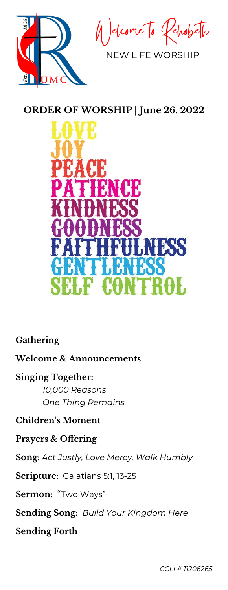

elcome To RehobeTu

NEW LIFE WORSHIP

# **ORDER OF WORSHIP | June 26, 2022**



## **Gathering**

#### **Welcome & Announcements**

### **Singing Together:**

*10,000 Reasons One Thing Remains*

## **Children's Moment**

### **Prayers & Offering**

**Song:** *Act Justly, Love Mercy, Walk Humbly*

**Scripture:** Galatians 5:1, 13-25

### **Sermon:** "Two Ways"

**Sending Song**: *Build Your Kingdom Here*

**Sending Forth**